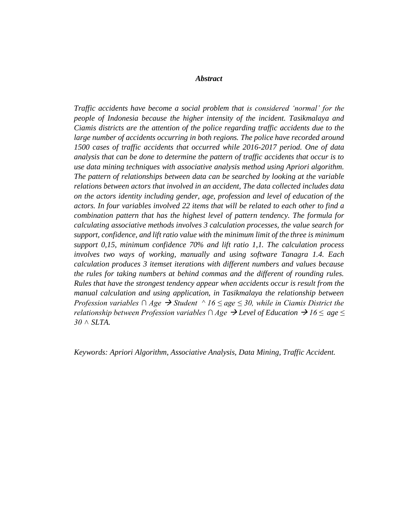## *Abstract*

*Traffic accidents have become a social problem that is considered 'normal' for the people of Indonesia because the higher intensity of the incident. Tasikmalaya and Ciamis districts are the attention of the police regarding traffic accidents due to the*  large number of accidents occurring in both regions. The police have recorded around *1500 cases of traffic accidents that occurred while 2016-2017 period. One of data analysis that can be done to determine the pattern of traffic accidents that occur is to use data mining techniques with associative analysis method using Apriori algorithm. The pattern of relationships between data can be searched by looking at the variable relations between actors that involved in an accident, The data collected includes data on the actors identity including gender, age, profession and level of education of the actors. In four variables involved 22 items that will be related to each other to find a combination pattern that has the highest level of pattern tendency. The formula for calculating associative methods involves 3 calculation processes, the value search for support, confidence, and lift ratio value with the minimum limit of the three is minimum support 0,15, minimum confidence 70% and lift ratio 1,1. The calculation process involves two ways of working, manually and using software Tanagra 1.4. Each calculation produces 3 itemset iterations with different numbers and values because the rules for taking numbers at behind commas and the different of rounding rules. Rules that have the strongest tendency appear when accidents occur is result from the manual calculation and using application, in Tasikmalaya the relationship between Profession variables* ∩ *Age*  $\rightarrow$  *Student* ^ 16 ≤ age ≤ 30, while in Ciamis District the *relationship between Profession variables* ∩ *Age*  $\rightarrow$  Level of Education  $\rightarrow$  16  $\leq$  age  $\leq$ *30 ˄ SLTA.*

*Keywords: Apriori Algorithm, Associative Analysis, Data Mining, Traffic Accident.*